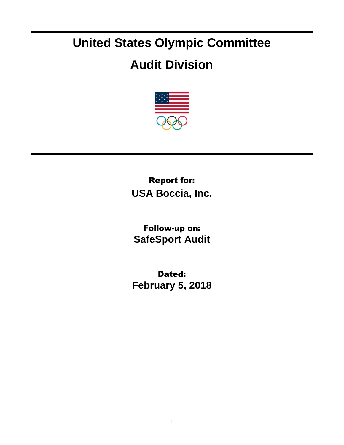## **United States Olympic Committee**

## **Audit Division**



Report for: **USA Boccia, Inc.**

Follow-up on: **SafeSport Audit**

Dated: **February 5, 2018**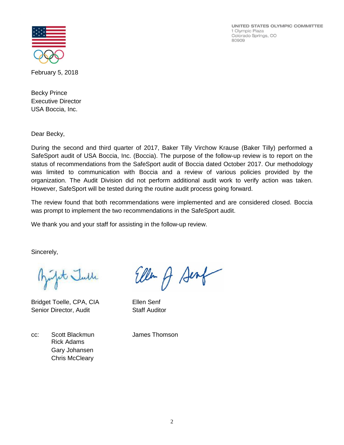UNITED STATES OLYMPIC COMMITTEE 1 Olympic Plaza Colorado Springs, CO 80909



February 5, 2018

Becky Prince Executive Director USA Boccia, Inc.

Dear Becky,

During the second and third quarter of 2017, Baker Tilly Virchow Krause (Baker Tilly) performed a SafeSport audit of USA Boccia, Inc. (Boccia). The purpose of the follow-up review is to report on the status of recommendations from the SafeSport audit of Boccia dated October 2017. Our methodology was limited to communication with Boccia and a review of various policies provided by the organization. The Audit Division did not perform additional audit work to verify action was taken. However, SafeSport will be tested during the routine audit process going forward.

The review found that both recommendations were implemented and are considered closed. Boccia was prompt to implement the two recommendations in the SafeSport audit.

We thank you and your staff for assisting in the follow-up review.

Sincerely,

pt Julle

Bridget Toelle, CPA, CIA Ellen Senf Senior Director, Audit Staff Auditor

Ellen A Senf

cc: Scott Blackmun James Thomson Rick Adams Gary Johansen Chris McCleary